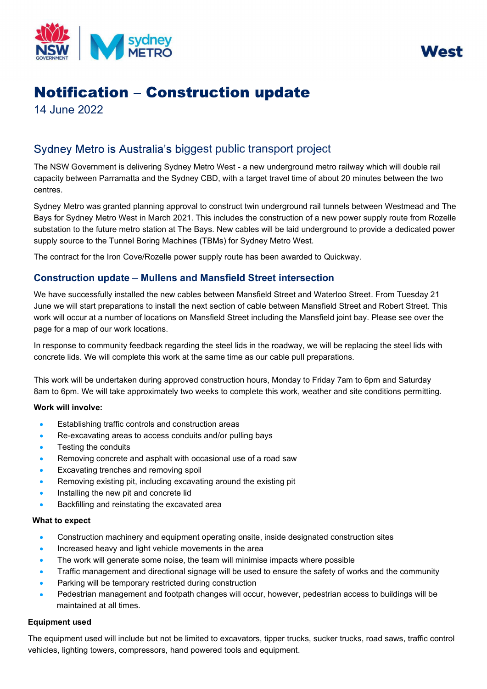



# **Notification - Construction update**

14 June 2022

# Sydney Metro is Australia's biggest public transport project

The NSW Government is delivering Sydney Metro West - a new underground metro railway which will double rail capacity between Parramatta and the Sydney CBD, with a target travel time of about 20 minutes between the two centres.

Sydney Metro was granted planning approval to construct twin underground rail tunnels between Westmead and The Bays for Sydney Metro West in March 2021. This includes the construction of a new power supply route from Rozelle substation to the future metro station at The Bays. New cables will be laid underground to provide a dedicated power supply source to the Tunnel Boring Machines (TBMs) for Sydney Metro West.

The contract for the Iron Cove/Rozelle power supply route has been awarded to Quickway.

# Construction update - Mullens and Mansfield Street intersection

We have successfully installed the new cables between Mansfield Street and Waterloo Street. From Tuesday 21 June we will start preparations to install the next section of cable between Mansfield Street and Robert Street. This work will occur at a number of locations on Mansfield Street including the Mansfield joint bay. Please see over the page for a map of our work locations.

In response to community feedback regarding the steel lids in the roadway, we will be replacing the steel lids with concrete lids. We will complete this work at the same time as our cable pull preparations.

This work will be undertaken during approved construction hours, Monday to Friday 7am to 6pm and Saturday 8am to 6pm. We will take approximately two weeks to complete this work, weather and site conditions permitting.

## Work will involve:

- Establishing traffic controls and construction areas
- Re-excavating areas to access conduits and/or pulling bays
- Testing the conduits
- Removing concrete and asphalt with occasional use of a road saw
- Excavating trenches and removing spoil
- Removing existing pit, including excavating around the existing pit
- Installing the new pit and concrete lid
- Backfilling and reinstating the excavated area

# What to expect

- Construction machinery and equipment operating onsite, inside designated construction sites
- Increased heavy and light vehicle movements in the area
- The work will generate some noise, the team will minimise impacts where possible
- Traffic management and directional signage will be used to ensure the safety of works and the community
- Parking will be temporary restricted during construction
- Pedestrian management and footpath changes will occur, however, pedestrian access to buildings will be maintained at all times.

## Equipment used

The equipment used will include but not be limited to excavators, tipper trucks, sucker trucks, road saws, traffic control vehicles, lighting towers, compressors, hand powered tools and equipment.